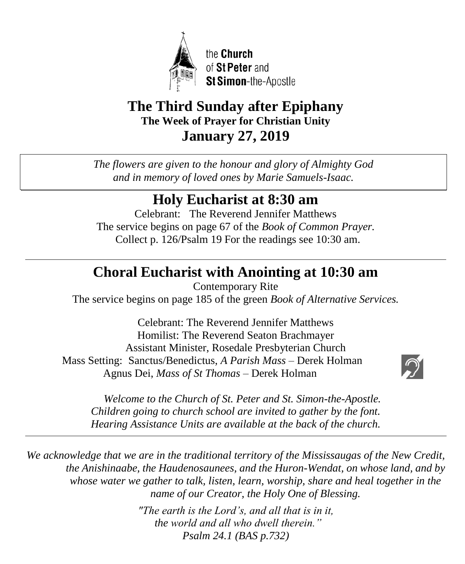

# **The Third Sunday after Epiphany The Week of Prayer for Christian Unity January 27, 2019**

*The flowers are given to the honour and glory of Almighty God The flowers are given to the honour and glory of Almighty God and in memory of loved ones by Marie Samuels-Isaac. and in memory of loved ones by Marie Samuels-Isaac.*

# **Holy Eucharist at 8:30 am**

Celebrant: The Reverend Jennifer Matthews The service begins on page 67 of the *Book of Common Prayer.* Collect p. 126/Psalm 19 For the readings see 10:30 am.

# **Choral Eucharist with Anointing at 10:30 am**

Contemporary Rite The service begins on page 185 of the green *Book of Alternative Services.*

Celebrant: The Reverend Jennifer Matthews Homilist: The Reverend Seaton Brachmayer Assistant Minister, Rosedale Presbyterian Church Mass Setting: Sanctus/Benedictus, *A Parish Mass* – Derek Holman Agnus Dei, *Mass of St Thomas* – Derek Holman



 *Welcome to the Church of St. Peter and St. Simon-the-Apostle. Children going to church school are invited to gather by the font. Hearing Assistance Units are available at the back of the church.*

*We acknowledge that we are in the traditional territory of the Mississaugas of the New Credit, the Anishinaabe, the Haudenosaunees, and the Huron-Wendat, on whose land, and by whose water we gather to talk, listen, learn, worship, share and heal together in the name of our Creator, the Holy One of Blessing.*

> *"The earth is the Lord's, and all that is in it, the world and all who dwell therein." Psalm 24.1 (BAS p.732)*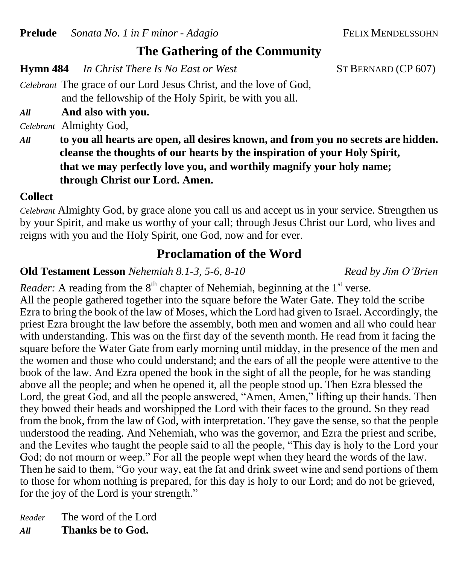### **The Gathering of the Community**

**Hymn 484** *In Christ There Is No East or West* ST BERNARD (CP 607)

*Celebrant* The grace of our Lord Jesus Christ, and the love of God, and the fellowship of the Holy Spirit, be with you all.

#### *All* **And also with you.**

*Celebrant* Almighty God,

*All* **to you all hearts are open, all desires known, and from you no secrets are hidden. cleanse the thoughts of our hearts by the inspiration of your Holy Spirit, that we may perfectly love you, and worthily magnify your holy name; through Christ our Lord. Amen.**

#### **Collect**

*Celebrant* Almighty God, by grace alone you call us and accept us in your service. Strengthen us by your Spirit, and make us worthy of your call; through Jesus Christ our Lord, who lives and reigns with you and the Holy Spirit, one God, now and for ever.

## **Proclamation of the Word**

#### **Old Testament Lesson** *Nehemiah 8.1-3, 5-6, 8-10**Read by Jim O'Brien*

*Reader:* A reading from the  $8<sup>th</sup>$  chapter of Nehemiah, beginning at the  $1<sup>st</sup>$  verse. All the people gathered together into the square before the Water Gate. They told the scribe Ezra to bring the book of the law of Moses, which the Lord had given to Israel. Accordingly, the priest Ezra brought the law before the assembly, both men and women and all who could hear with understanding. This was on the first day of the seventh month. He read from it facing the square before the Water Gate from early morning until midday, in the presence of the men and the women and those who could understand; and the ears of all the people were attentive to the book of the law. And Ezra opened the book in the sight of all the people, for he was standing above all the people; and when he opened it, all the people stood up. Then Ezra blessed the Lord, the great God, and all the people answered, "Amen, Amen," lifting up their hands. Then they bowed their heads and worshipped the Lord with their faces to the ground. So they read from the book, from the law of God, with interpretation. They gave the sense, so that the people understood the reading. And Nehemiah, who was the governor, and Ezra the priest and scribe, and the Levites who taught the people said to all the people, "This day is holy to the Lord your God; do not mourn or weep." For all the people wept when they heard the words of the law. Then he said to them, "Go your way, eat the fat and drink sweet wine and send portions of them to those for whom nothing is prepared, for this day is holy to our Lord; and do not be grieved, for the joy of the Lord is your strength."

*Reader* The word of the Lord *All* **Thanks be to God.**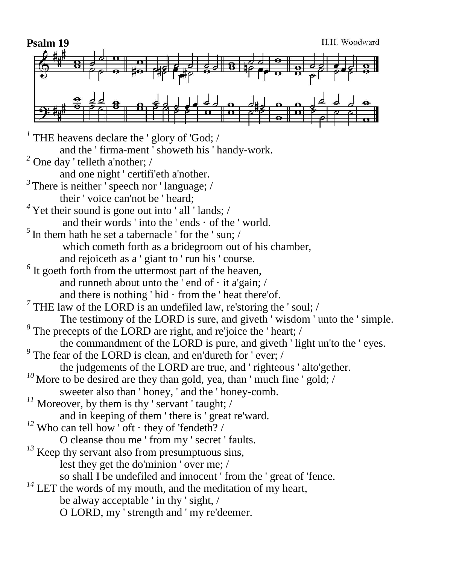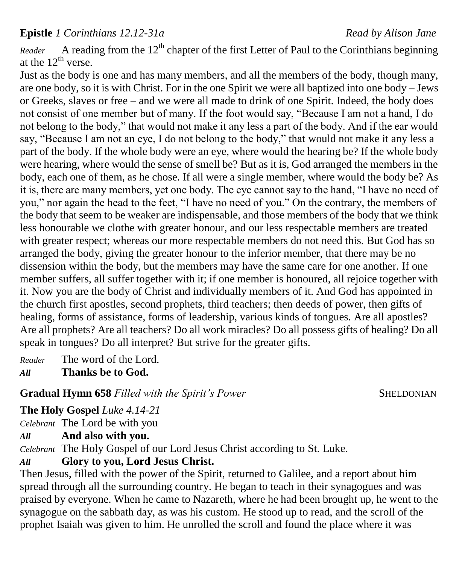**Epistle** *1 Corinthians 12.12-31a* Read by *Alison Jane* 

*Reader* A reading from the 12<sup>th</sup> chapter of the first Letter of Paul to the Corinthians beginning at the  $12<sup>th</sup>$  verse.

Just as the body is one and has many members, and all the members of the body, though many, are one body, so it is with Christ. For in the one Spirit we were all baptized into one body – Jews or Greeks, slaves or free – and we were all made to drink of one Spirit. Indeed, the body does not consist of one member but of many. If the foot would say, "Because I am not a hand, I do not belong to the body," that would not make it any less a part of the body. And if the ear would say, "Because I am not an eye, I do not belong to the body," that would not make it any less a part of the body. If the whole body were an eye, where would the hearing be? If the whole body were hearing, where would the sense of smell be? But as it is, God arranged the members in the body, each one of them, as he chose. If all were a single member, where would the body be? As it is, there are many members, yet one body. The eye cannot say to the hand, "I have no need of you," nor again the head to the feet, "I have no need of you." On the contrary, the members of the body that seem to be weaker are indispensable, and those members of the body that we think less honourable we clothe with greater honour, and our less respectable members are treated with greater respect; whereas our more respectable members do not need this. But God has so arranged the body, giving the greater honour to the inferior member, that there may be no dissension within the body, but the members may have the same care for one another. If one member suffers, all suffer together with it; if one member is honoured, all rejoice together with it. Now you are the body of Christ and individually members of it. And God has appointed in the church first apostles, second prophets, third teachers; then deeds of power, then gifts of healing, forms of assistance, forms of leadership, various kinds of tongues. Are all apostles? Are all prophets? Are all teachers? Do all work miracles? Do all possess gifts of healing? Do all speak in tongues? Do all interpret? But strive for the greater gifts.

*Reader* The word of the Lord.

*All* **Thanks be to God.**

**Gradual Hymn 658** *Filled with the Spirit's Power* SHELDONIAN

**The Holy Gospel** *Luke 4.14-21*

*Celebrant* The Lord be with you

*All* **And also with you.**

*Celebrant* The Holy Gospel of our Lord Jesus Christ according to St. Luke.

## *All* **Glory to you, Lord Jesus Christ.**

Then Jesus, filled with the power of the Spirit, returned to Galilee, and a report about him spread through all the surrounding country. He began to teach in their synagogues and was praised by everyone. When he came to Nazareth, where he had been brought up, he went to the synagogue on the sabbath day, as was his custom. He stood up to read, and the scroll of the prophet Isaiah was given to him. He unrolled the scroll and found the place where it was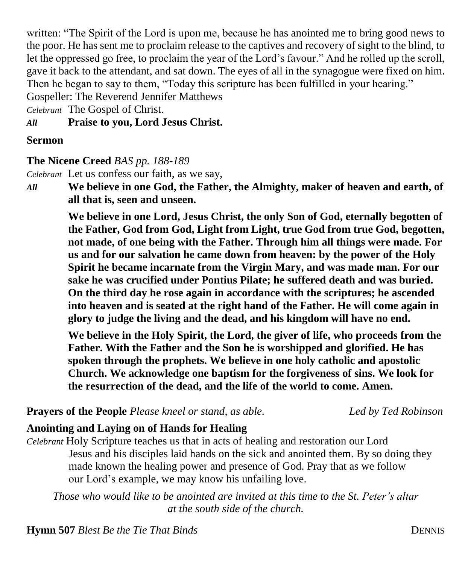written: "The Spirit of the Lord is upon me, because he has anointed me to bring good news to the poor. He has sent me to proclaim release to the captives and recovery of sight to the blind, to let the oppressed go free, to proclaim the year of the Lord's favour." And he rolled up the scroll, gave it back to the attendant, and sat down. The eyes of all in the synagogue were fixed on him. Then he began to say to them, "Today this scripture has been fulfilled in your hearing." Gospeller: The Reverend Jennifer Matthews

*Celebrant* The Gospel of Christ.

#### *All* **Praise to you, Lord Jesus Christ.**

#### **Sermon**

#### **The Nicene Creed** *BAS pp. 188-189*

*Celebrant* Let us confess our faith, as we say,

*All* **We believe in one God, the Father, the Almighty, maker of heaven and earth, of all that is, seen and unseen.** 

**We believe in one Lord, Jesus Christ, the only Son of God, eternally begotten of the Father, God from God, Light from Light, true God from true God, begotten, not made, of one being with the Father. Through him all things were made. For us and for our salvation he came down from heaven: by the power of the Holy Spirit he became incarnate from the Virgin Mary, and was made man. For our sake he was crucified under Pontius Pilate; he suffered death and was buried. On the third day he rose again in accordance with the scriptures; he ascended into heaven and is seated at the right hand of the Father. He will come again in glory to judge the living and the dead, and his kingdom will have no end.** 

**We believe in the Holy Spirit, the Lord, the giver of life, who proceeds from the Father. With the Father and the Son he is worshipped and glorified. He has spoken through the prophets. We believe in one holy catholic and apostolic Church. We acknowledge one baptism for the forgiveness of sins. We look for the resurrection of the dead, and the life of the world to come. Amen.**

**Prayers of the People** *Please kneel or stand, as able. Led by Ted Robinson*

#### **Anointing and Laying on of Hands for Healing**

*Celebrant* Holy Scripture teaches us that in acts of healing and restoration our Lord Jesus and his disciples laid hands on the sick and anointed them. By so doing they made known the healing power and presence of God. Pray that as we follow our Lord's example, we may know his unfailing love.

*Those who would like to be anointed are invited at this time to the St. Peter's altar at the south side of the church.*

**Hymn 507** *Blest Be the Tie That Binds* **DENNIS DENNIS**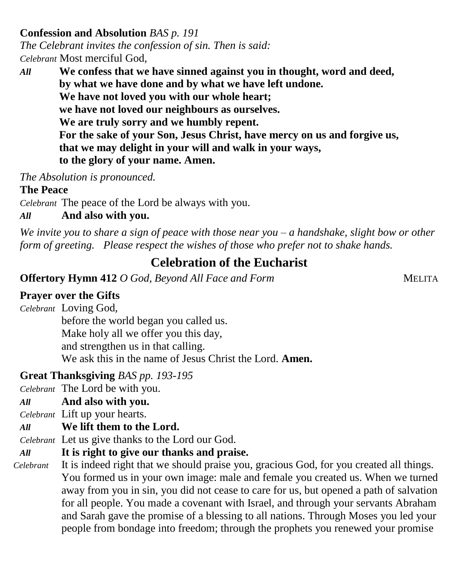**Confession and Absolution** *BAS p. 191*

*The Celebrant invites the confession of sin. Then is said: Celebrant* Most merciful God,

*All* **We confess that we have sinned against you in thought, word and deed, by what we have done and by what we have left undone. We have not loved you with our whole heart; we have not loved our neighbours as ourselves. We are truly sorry and we humbly repent. For the sake of your Son, Jesus Christ, have mercy on us and forgive us, that we may delight in your will and walk in your ways, to the glory of your name. Amen.** 

*The Absolution is pronounced.*

#### **The Peace**

*Celebrant* The peace of the Lord be always with you.

#### *All* **And also with you.**

*We invite you to share a sign of peace with those near you – a handshake, slight bow or other form of greeting. Please respect the wishes of those who prefer not to shake hands.*

## **Celebration of the Eucharist**

**Offertory Hymn 412** *O God, Beyond All Face and Form* MELITA

### **Prayer over the Gifts**

*Celebrant* Loving God,

before the world began you called us.

Make holy all we offer you this day,

and strengthen us in that calling.

We ask this in the name of Jesus Christ the Lord. **Amen.**

#### **Great Thanksgiving** *BAS pp. 193-195*

*Celebrant* The Lord be with you.

#### *All* **And also with you.**

*Celebrant* Lift up your hearts.

*All* **We lift them to the Lord.**

*Celebrant* Let us give thanks to the Lord our God.

#### *All* **It is right to give our thanks and praise.**

*Celebrant* It is indeed right that we should praise you, gracious God, for you created all things. You formed us in your own image: male and female you created us. When we turned away from you in sin, you did not cease to care for us, but opened a path of salvation for all people. You made a covenant with Israel, and through your servants Abraham and Sarah gave the promise of a blessing to all nations. Through Moses you led your people from bondage into freedom; through the prophets you renewed your promise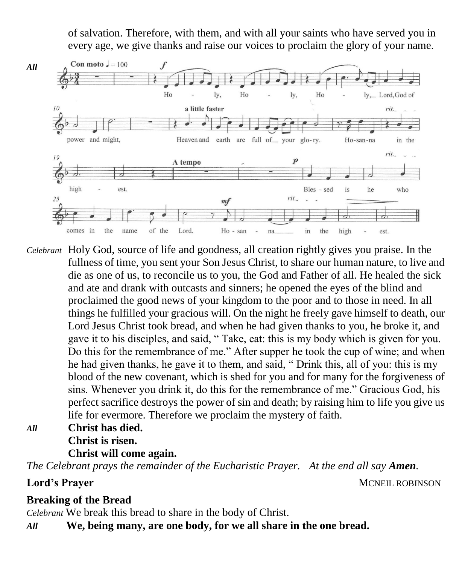of salvation. Therefore, with them, and with all your saints who have served you in every age, we give thanks and raise our voices to proclaim the glory of your name.



*Celebrant* Holy God, source of life and goodness, all creation rightly gives you praise. In the fullness of time, you sent your Son Jesus Christ, to share our human nature, to live and die as one of us, to reconcile us to you, the God and Father of all. He healed the sick and ate and drank with outcasts and sinners; he opened the eyes of the blind and proclaimed the good news of your kingdom to the poor and to those in need. In all things he fulfilled your gracious will. On the night he freely gave himself to death, our Lord Jesus Christ took bread, and when he had given thanks to you, he broke it, and gave it to his disciples, and said, " Take, eat: this is my body which is given for you. Do this for the remembrance of me." After supper he took the cup of wine; and when he had given thanks, he gave it to them, and said, " Drink this, all of you: this is my blood of the new covenant, which is shed for you and for many for the forgiveness of sins. Whenever you drink it, do this for the remembrance of me." Gracious God, his perfect sacrifice destroys the power of sin and death; by raising him to life you give us life for evermore. Therefore we proclaim the mystery of faith.

*All* **Christ has died. Christ is risen. Christ will come again.**

*The Celebrant prays the remainder of the Eucharistic Prayer. At the end all say Amen.*

#### **Breaking of the Bread**

*Celebrant* We break this bread to share in the body of Christ.

*All* **We, being many, are one body, for we all share in the one bread.**

#### **Lord's Prayer**  MCNEIL ROBINSON